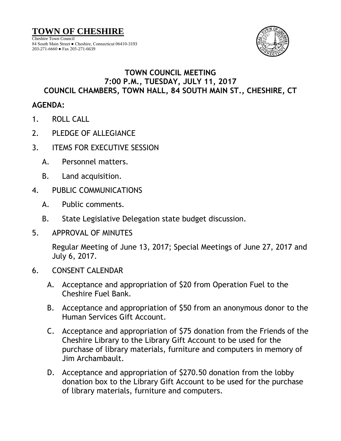

## **TOWN COUNCIL MEETING 7:00 P.M., TUESDAY, JULY 11, 2017 COUNCIL CHAMBERS, TOWN HALL, 84 SOUTH MAIN ST., CHESHIRE, CT**

## **AGENDA:**

- 1. ROLL CALL
- 2. PLEDGE OF ALLEGIANCE
- 3. ITEMS FOR EXECUTIVE SESSION
	- A. Personnel matters.
	- B. Land acquisition.
- 4. PUBLIC COMMUNICATIONS
	- A. Public comments.
	- B. State Legislative Delegation state budget discussion.
- 5. APPROVAL OF MINUTES

Regular Meeting of June 13, 2017; Special Meetings of June 27, 2017 and July 6, 2017.

- 6. CONSENT CALENDAR
	- A. Acceptance and appropriation of \$20 from Operation Fuel to the Cheshire Fuel Bank.
	- B. Acceptance and appropriation of \$50 from an anonymous donor to the Human Services Gift Account.
	- C. Acceptance and appropriation of \$75 donation from the Friends of the Cheshire Library to the Library Gift Account to be used for the purchase of library materials, furniture and computers in memory of Jim Archambault.
	- D. Acceptance and appropriation of \$270.50 donation from the lobby donation box to the Library Gift Account to be used for the purchase of library materials, furniture and computers.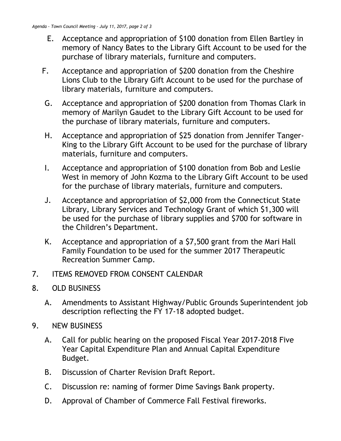- E. Acceptance and appropriation of \$100 donation from Ellen Bartley in memory of Nancy Bates to the Library Gift Account to be used for the purchase of library materials, furniture and computers.
- F. Acceptance and appropriation of \$200 donation from the Cheshire Lions Club to the Library Gift Account to be used for the purchase of library materials, furniture and computers.
- G. Acceptance and appropriation of \$200 donation from Thomas Clark in memory of Marilyn Gaudet to the Library Gift Account to be used for the purchase of library materials, furniture and computers.
- H. Acceptance and appropriation of \$25 donation from Jennifer Tanger-King to the Library Gift Account to be used for the purchase of library materials, furniture and computers.
- I. Acceptance and appropriation of \$100 donation from Bob and Leslie West in memory of John Kozma to the Library Gift Account to be used for the purchase of library materials, furniture and computers.
- J. Acceptance and appropriation of \$2,000 from the Connecticut State Library, Library Services and Technology Grant of which \$1,300 will be used for the purchase of library supplies and \$700 for software in the Children's Department.
- K. Acceptance and appropriation of a \$7,500 grant from the Mari Hall Family Foundation to be used for the summer 2017 Therapeutic Recreation Summer Camp.
- 7. ITEMS REMOVED FROM CONSENT CALENDAR
- 8. OLD BUSINESS
	- A. Amendments to Assistant Highway/Public Grounds Superintendent job description reflecting the FY 17-18 adopted budget.
- 9. NEW BUSINESS
	- A. Call for public hearing on the proposed Fiscal Year 2017-2018 Five Year Capital Expenditure Plan and Annual Capital Expenditure Budget.
	- B. Discussion of Charter Revision Draft Report.
	- C. Discussion re: naming of former Dime Savings Bank property.
	- D. Approval of Chamber of Commerce Fall Festival fireworks.